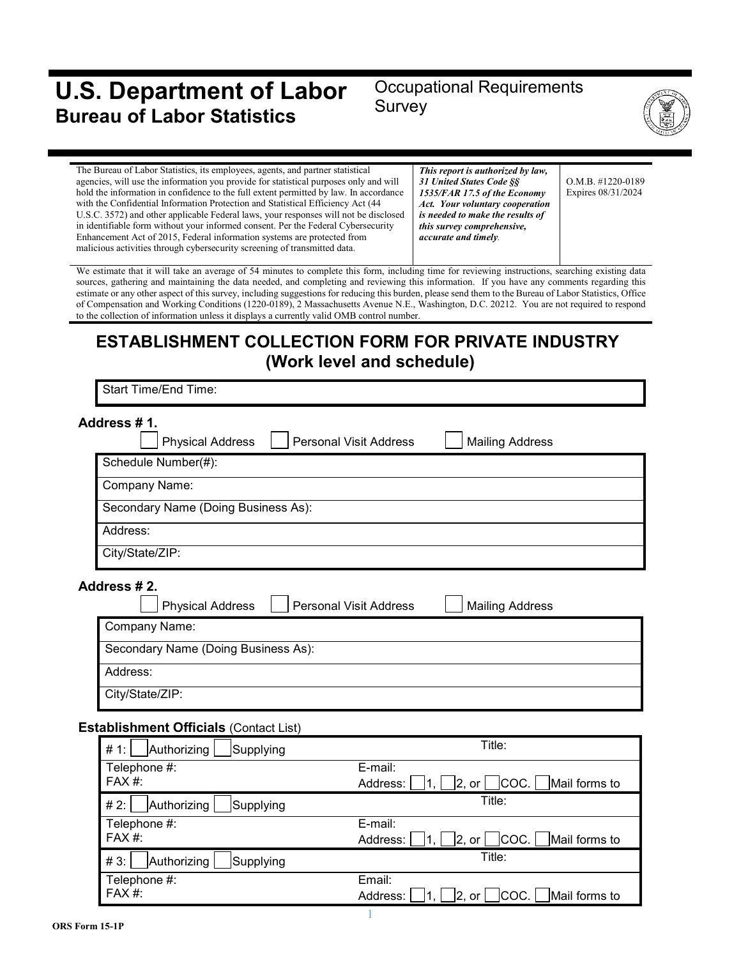# **U.S. Department of Labor Bureau of Labor Statistics**

# Occupational Requirements Survey



| The Bureau of Labor Statistics, its employees, agents, and partner statistical<br>agencies, will use the information you provide for statistical purposes only and will<br>hold the information in confidence to the full extent permitted by law. In accordance<br>with the Confidential Information Protection and Statistical Efficiency Act (44<br>U.S.C. 3572) and other applicable Federal laws, your responses will not be disclosed<br>in identifiable form without your informed consent. Per the Federal Cybersecurity<br>Enhancement Act of 2015, Federal information systems are protected from<br>malicious activities through cybersecurity screening of transmitted data. | This report is authorized by law,<br><b>31 United States Code SS</b><br>1535/FAR 17.5 of the Economy<br>Act. Your voluntary cooperation<br>is needed to make the results of<br>this survey comprehensive,<br>accurate and timely. | $O.M.B.$ #1220-0189<br>Expires 08/31/2024 |
|------------------------------------------------------------------------------------------------------------------------------------------------------------------------------------------------------------------------------------------------------------------------------------------------------------------------------------------------------------------------------------------------------------------------------------------------------------------------------------------------------------------------------------------------------------------------------------------------------------------------------------------------------------------------------------------|-----------------------------------------------------------------------------------------------------------------------------------------------------------------------------------------------------------------------------------|-------------------------------------------|
| We estimate that it will take an average of 54 minutes to complete this form, including time for reviewing instructions, searching existing data<br>equipped approximately maintaining the data needed and completing and reviewing this information. If you have enveloped recording this                                                                                                                                                                                                                                                                                                                                                                                               |                                                                                                                                                                                                                                   |                                           |

sources, gathering and maintaining the data needed, and completing and reviewing this information. If you have any comments regarding this estimate or any other aspect of this survey, including suggestions for reducing this burden, please send them to the Bureau of Labor Statistics, Office of Compensation and Working Conditions (1220-0189), 2 Massachusetts Avenue N.E., Washington, D.C. 20212. You are not required to respond to the collection of information unless it displays a currently valid OMB control number.

# **ESTABLISHMENT COLLECTION FORM FOR PRIVATE INDUSTRY (Work level and schedule)**

Start Time/End Time:

| Address # 1.        | <b>Physical Address</b>             | <b>Personal Visit Address</b> | <b>Mailing Address</b> |
|---------------------|-------------------------------------|-------------------------------|------------------------|
| Schedule Number(#): |                                     |                               |                        |
| Company Name:       |                                     |                               |                        |
|                     | Secondary Name (Doing Business As): |                               |                        |
| Address:            |                                     |                               |                        |
| City/State/ZIP:     |                                     |                               |                        |

**Address # 2.**

| <b>Physical Address</b>             | <b>Personal Visit Address</b> | <b>Mailing Address</b> |
|-------------------------------------|-------------------------------|------------------------|
| Company Name:                       |                               |                        |
| Secondary Name (Doing Business As): |                               |                        |
| Address:                            |                               |                        |
| City/State/ZIP:                     |                               |                        |

#### **Establishment Officials** (Contact List)

| Authorizing<br># 1:<br>Supplying | Title:                                                  |
|----------------------------------|---------------------------------------------------------|
| Telephone #:<br>FAX #:           | E-mail:<br>$ COC. $ Mail forms to<br>Address:<br> 2, or |
| Authorizing<br># 2:<br>Supplying | Title:                                                  |
| Telephone #:                     | E-mail:                                                 |
| FAX #:                           | COC.   Mail forms to<br>Address:<br> 2, or              |
| #3:<br>Authorizing<br>Supplying  | Title:                                                  |
| Telephone #:                     | Email:                                                  |
| FAX #:                           | Mail forms to<br> COC.  <br>Address:<br>12,<br>or       |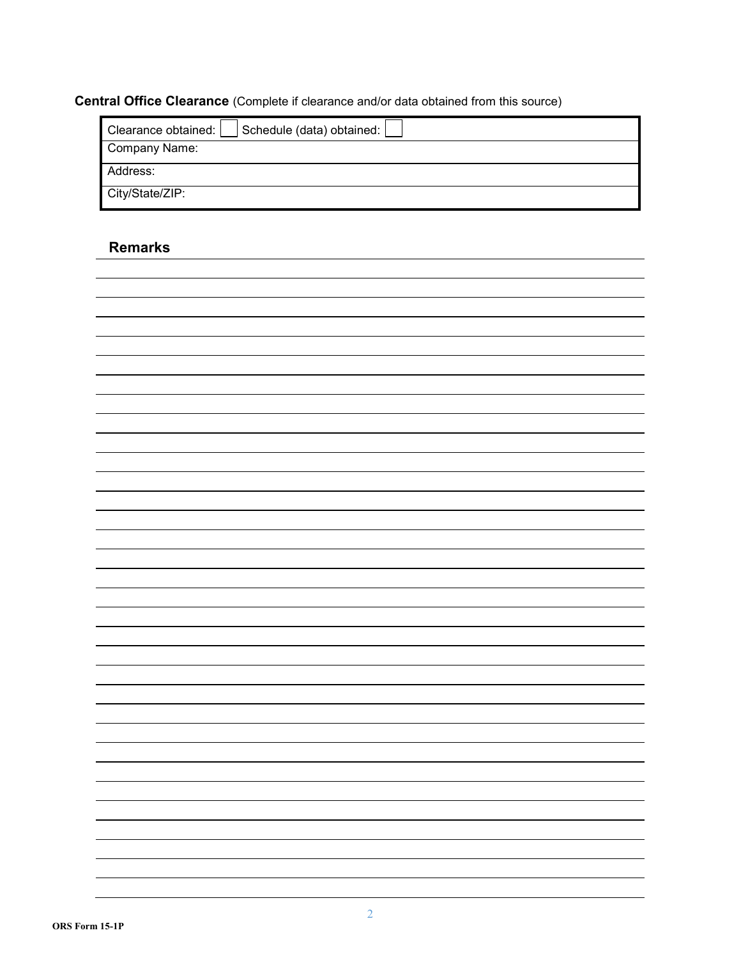# **Central Office Clearance** (Complete if clearance and/or data obtained from this source)

| Schedule (data) obtained:  <br>Clearance obtained: |
|----------------------------------------------------|
| Company Name:                                      |
| Address:                                           |
| City/State/ZIP:                                    |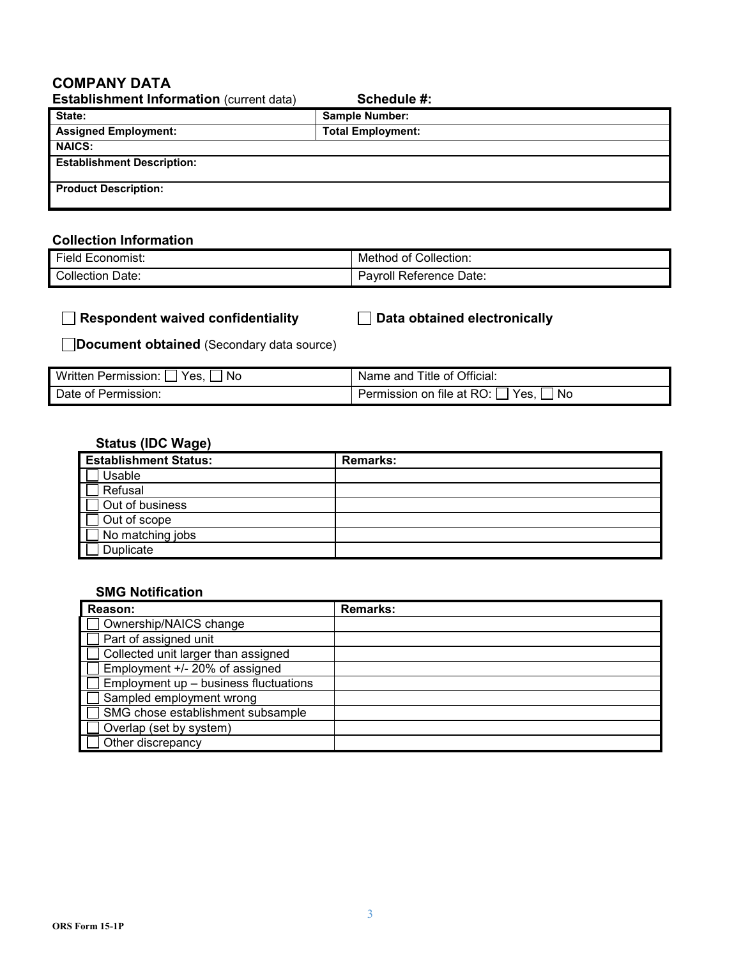### **COMPANY DATA**

| <b>Establishment Information (current data)</b> | Schedule #:              |  |
|-------------------------------------------------|--------------------------|--|
| State:                                          | <b>Sample Number:</b>    |  |
| <b>Assigned Employment:</b>                     | <b>Total Employment:</b> |  |
| <b>NAICS:</b>                                   |                          |  |
| <b>Establishment Description:</b>               |                          |  |
| <b>Product Description:</b>                     |                          |  |

#### **Collection Information**

| - -        | Collection:     |
|------------|-----------------|
| Economist: | 0t              |
| -ield      | Method          |
| Collection | Reference Date: |
| Date:      | Pavroll         |

#### **Respondent waived confidentiality Data obtained electronically**

**Document obtained** (Secondary data source)

| Wr<br>Yes<br>.No<br>mission.<br>aler. | ∩fficial:<br>ıtle<br>anc<br>οt<br>Nа.<br>пе             |
|---------------------------------------|---------------------------------------------------------|
| ermission<br>Ωt<br>⊡≏' ⊺              | No<br>RO.<br>Yes<br>⊦on<br><b>ALSSIOP</b><br>tile<br>at |

#### **Status (IDC Wage)**

| <b>Establishment Status:</b> | <b>Remarks:</b> |
|------------------------------|-----------------|
| Usable                       |                 |
| Refusal                      |                 |
| Out of business              |                 |
| Out of scope                 |                 |
| No matching jobs             |                 |
| Duplicate                    |                 |

#### **SMG Notification**

| Reason:                               | <b>Remarks:</b> |
|---------------------------------------|-----------------|
| Ownership/NAICS change                |                 |
| Part of assigned unit                 |                 |
| Collected unit larger than assigned   |                 |
| Employment +/- 20% of assigned        |                 |
| Employment up - business fluctuations |                 |
| Sampled employment wrong              |                 |
| SMG chose establishment subsample     |                 |
| Overlap (set by system)               |                 |
| Other discrepancy                     |                 |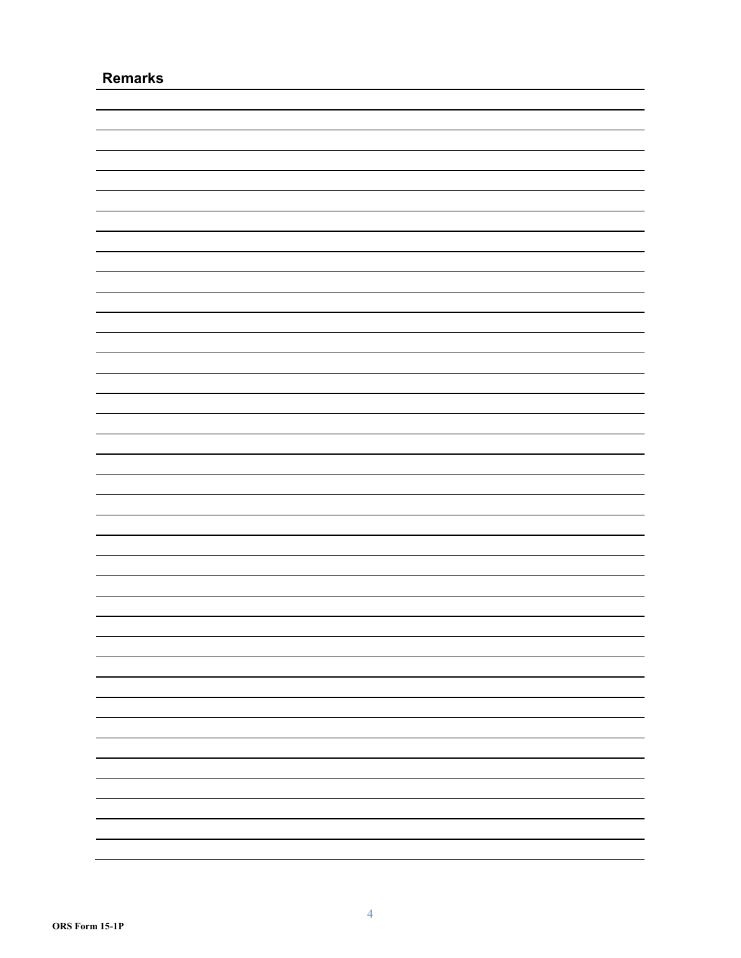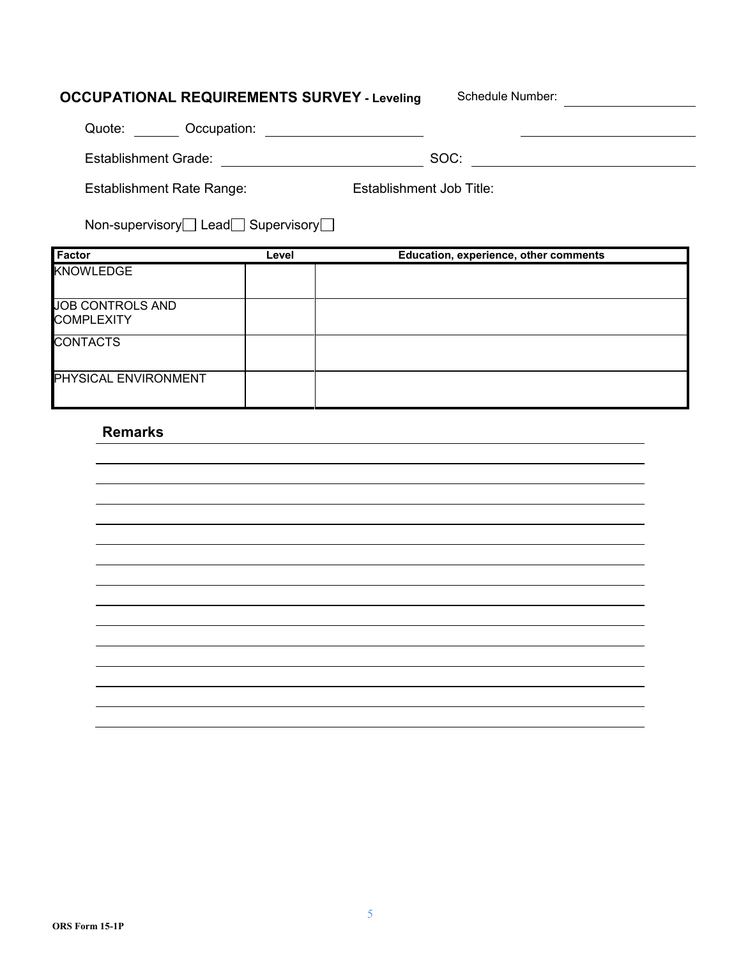# **OCCUPATIONAL REQUIREMENTS SURVEY - Leveling Schedule Number:**

| Occupation:<br>Quote:     |                          |
|---------------------------|--------------------------|
| Establishment Grade:      | SOC:                     |
| Establishment Rate Range: | Establishment Job Title: |

|  | Non-supervisory□ Lead□ Supervisory□ |
|--|-------------------------------------|
|--|-------------------------------------|

| <b>Factor</b>               | Level | Education, experience, other comments |
|-----------------------------|-------|---------------------------------------|
| <b>KNOWLEDGE</b>            |       |                                       |
|                             |       |                                       |
| JOB CONTROLS AND            |       |                                       |
| <b>COMPLEXITY</b>           |       |                                       |
| <b>CONTACTS</b>             |       |                                       |
|                             |       |                                       |
| <b>PHYSICAL ENVIRONMENT</b> |       |                                       |
|                             |       |                                       |

| - |  |
|---|--|
|   |  |
|   |  |
|   |  |
|   |  |
|   |  |
|   |  |
|   |  |
|   |  |
|   |  |
|   |  |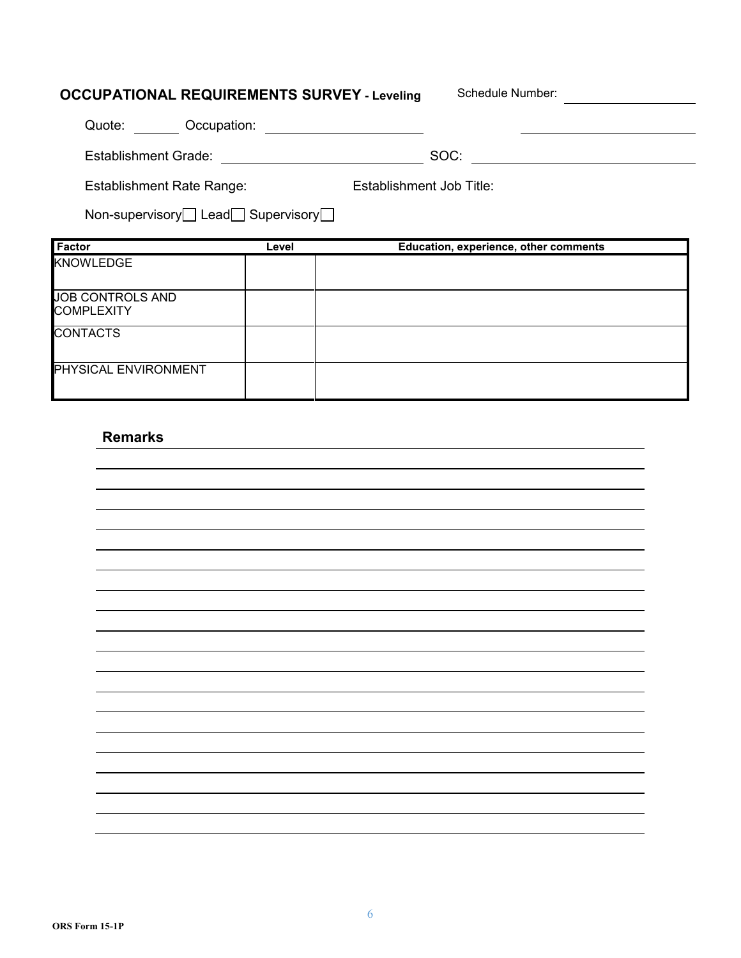| <b>OCCUPATIONAL REQUIREMENTS SURVEY - Leveling</b> |       | Schedule Number:                      |  |
|----------------------------------------------------|-------|---------------------------------------|--|
| Quote: Occupation:                                 |       |                                       |  |
| <b>Establishment Grade:</b>                        |       | SOC:                                  |  |
| <b>Establishment Rate Range:</b>                   |       | Establishment Job Title:              |  |
|                                                    |       |                                       |  |
| Non-supervisory□ Lead□ Supervisory□                |       |                                       |  |
| Factor                                             | Level | Education, experience, other comments |  |
| <b>KNOWLEDGE</b>                                   |       |                                       |  |
| <b>JOB CONTROLS AND</b><br><b>COMPLEXITY</b>       |       |                                       |  |

PHYSICAL ENVIRONMENT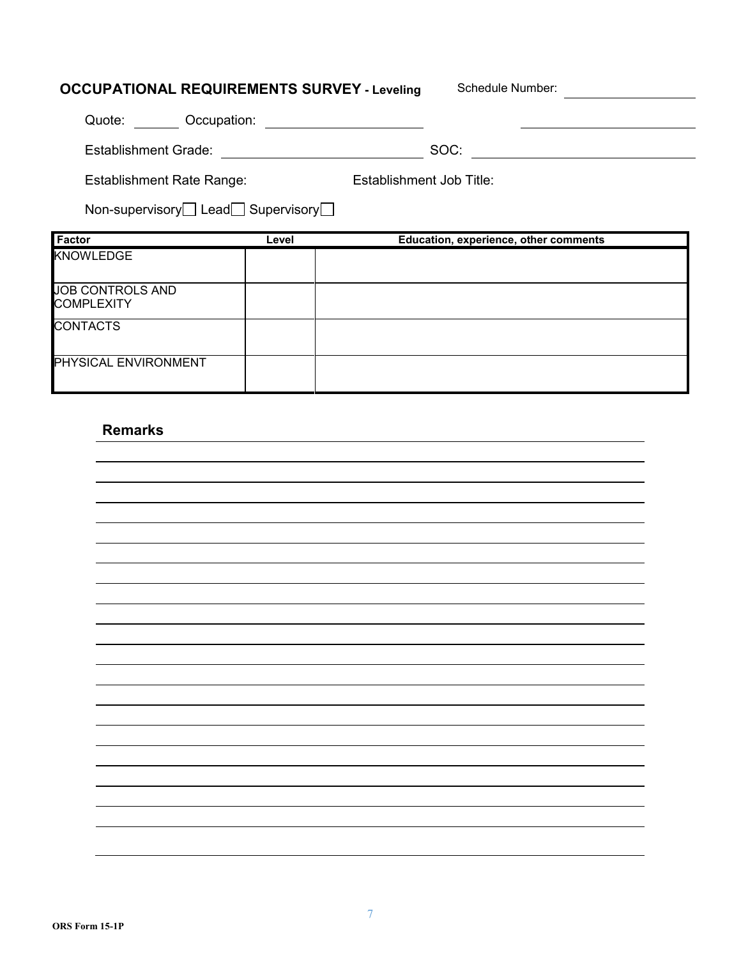| <b>OCCUPATIONAL REQUIREMENTS SURVEY - Leveling</b> |       | Schedule Number:                      |  |
|----------------------------------------------------|-------|---------------------------------------|--|
| Quote: Occupation:                                 |       |                                       |  |
| Establishment Grade:                               |       | SOC:                                  |  |
| <b>Establishment Rate Range:</b>                   |       | Establishment Job Title:              |  |
| Non-supervisory Lead Supervisory                   |       |                                       |  |
|                                                    |       |                                       |  |
| Factor                                             | Level | Education, experience, other comments |  |
| <b>KNOWLEDGE</b>                                   |       |                                       |  |
| <b>JOB CONTROLS AND</b><br><b>COMPLEXITY</b>       |       |                                       |  |
| <b>CONTACTS</b>                                    |       |                                       |  |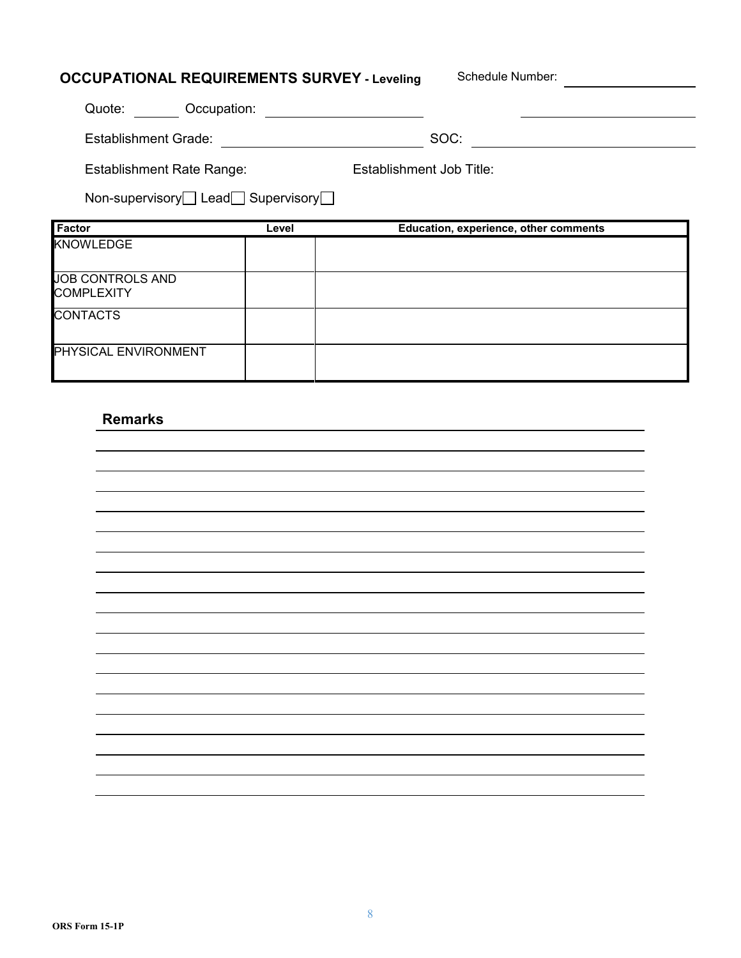| <b>OCCUPATIONAL REQUIREMENTS SURVEY - Leveling</b> |       |                                 | Schedule Number:                      |
|----------------------------------------------------|-------|---------------------------------|---------------------------------------|
| Quote: Occupation:                                 |       |                                 |                                       |
| Establishment Grade:                               |       |                                 | SOC:                                  |
| Establishment Rate Range:                          |       | <b>Establishment Job Title:</b> |                                       |
| Non-supervisory Lead Supervisory                   |       |                                 |                                       |
|                                                    |       |                                 |                                       |
| <b>Factor</b>                                      | Level |                                 | Education, experience, other comments |
| <b>KNOWLEDGE</b>                                   |       |                                 |                                       |
| <b>JOB CONTROLS AND</b><br><b>COMPLEXITY</b>       |       |                                 |                                       |
| <b>CONTACTS</b>                                    |       |                                 |                                       |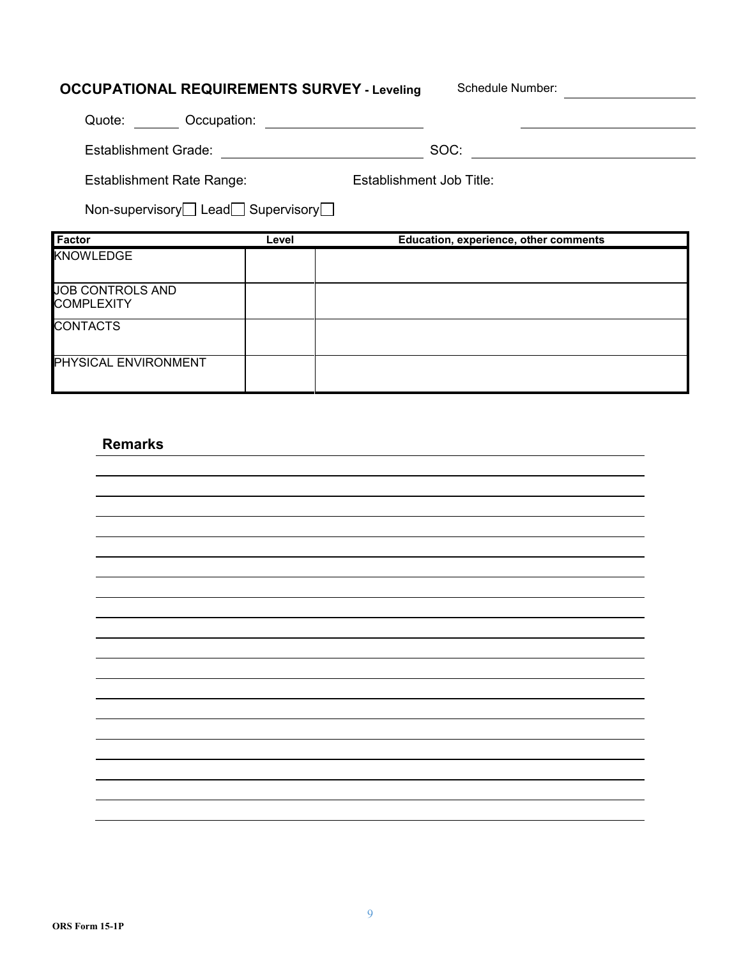| <b>OCCUPATIONAL REQUIREMENTS SURVEY - Leveling</b> |       | Schedule Number:                      |
|----------------------------------------------------|-------|---------------------------------------|
| Quote: Occupation:                                 |       |                                       |
| Establishment Grade:                               |       | SOC:                                  |
| <b>Establishment Rate Range:</b>                   |       | Establishment Job Title:              |
| Non-supervisory Lead Supervisory                   |       |                                       |
| Factor                                             | Level | Education, experience, other comments |
| <b>KNOWLEDGE</b>                                   |       |                                       |
| <b>JOB CONTROLS AND</b>                            |       |                                       |
| <b>COMPLEXITY</b>                                  |       |                                       |
| <b>CONTACTS</b>                                    |       |                                       |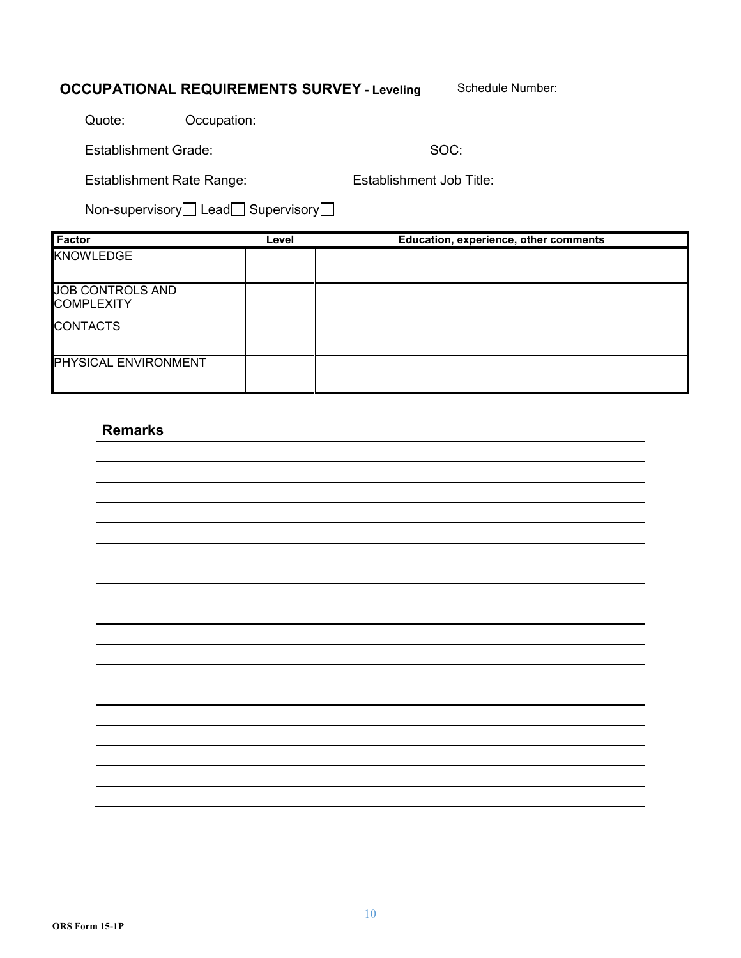| <b>OCCUPATIONAL REQUIREMENTS SURVEY - Leveling</b>    |       | Schedule Number:                      |  |
|-------------------------------------------------------|-------|---------------------------------------|--|
| Quote: Occupation:                                    |       |                                       |  |
| Establishment Grade:                                  |       | SOC:                                  |  |
| <b>Establishment Rate Range:</b>                      |       | Establishment Job Title:              |  |
| Non-supervisory $\Box$ Lead $\Box$ Supervisory $\Box$ |       |                                       |  |
|                                                       |       |                                       |  |
| Factor                                                | Level | Education, experience, other comments |  |
| <b>KNOWLEDGE</b>                                      |       |                                       |  |
| <b>JOB CONTROLS AND</b><br><b>COMPLEXITY</b>          |       |                                       |  |
| <b>CONTACTS</b>                                       |       |                                       |  |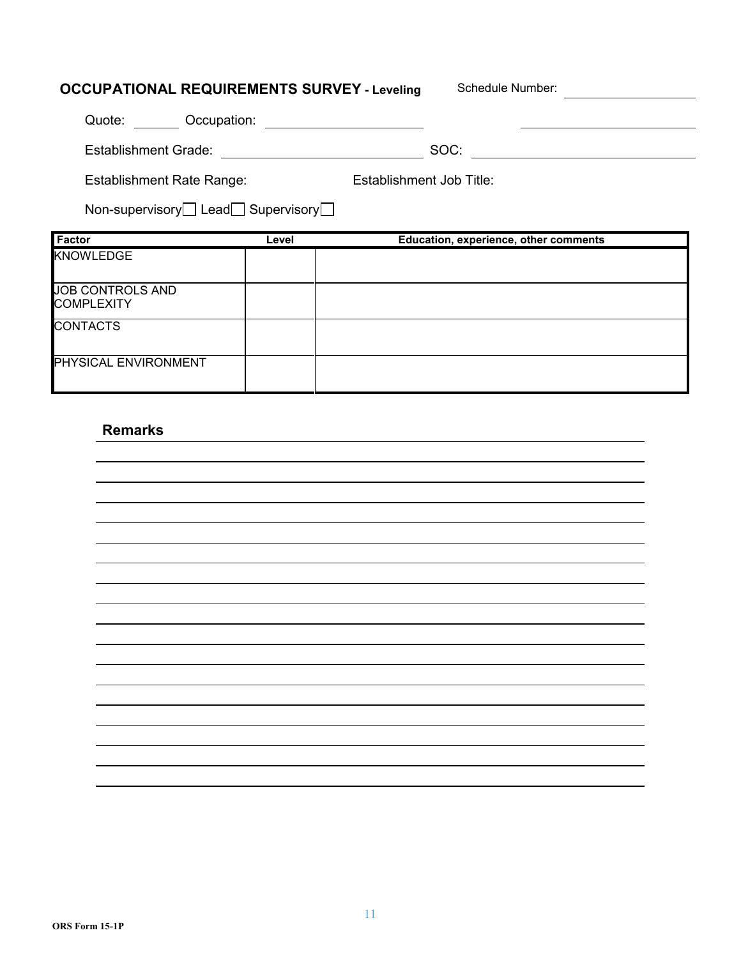| <b>OCCUPATIONAL REQUIREMENTS SURVEY - Leveling</b>    |       | Schedule Number:                      |
|-------------------------------------------------------|-------|---------------------------------------|
| Quote: Occupation:                                    |       |                                       |
| <b>Establishment Grade:</b>                           |       | SOC:                                  |
| <b>Establishment Rate Range:</b>                      |       | Establishment Job Title:              |
| Non-supervisory $\Box$ Lead $\Box$ Supervisory $\Box$ |       |                                       |
| <b>Factor</b>                                         |       |                                       |
|                                                       | Level | Education, experience, other comments |
| KNOWLEDGE                                             |       |                                       |
| <b>JOB CONTROLS AND</b><br><b>COMPLEXITY</b>          |       |                                       |
| <b>CONTACTS</b>                                       |       |                                       |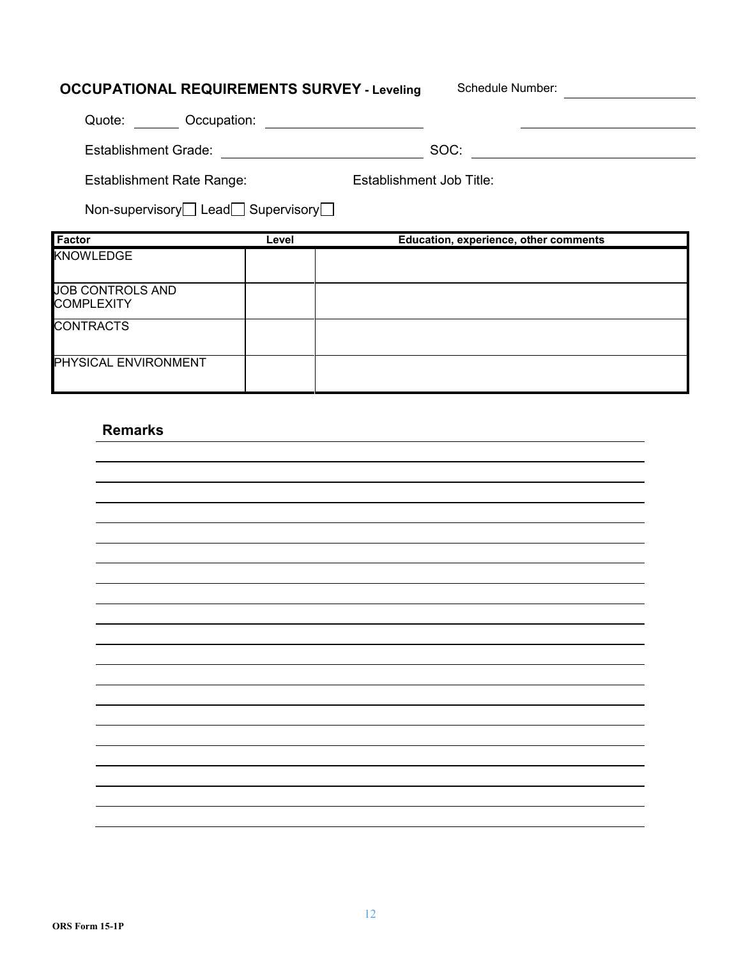| <b>OCCUPATIONAL REQUIREMENTS SURVEY - Leveling</b>    |       | Schedule Number:                      |  |
|-------------------------------------------------------|-------|---------------------------------------|--|
| Quote: Occupation:                                    |       |                                       |  |
| Establishment Grade:                                  |       | SOC:                                  |  |
| <b>Establishment Rate Range:</b>                      |       | Establishment Job Title:              |  |
| Non-supervisory $\Box$ Lead $\Box$ Supervisory $\Box$ |       |                                       |  |
|                                                       |       |                                       |  |
| Factor                                                | Level | Education, experience, other comments |  |
| <b>KNOWLEDGE</b>                                      |       |                                       |  |
| <b>JOB CONTROLS AND</b><br><b>COMPLEXITY</b>          |       |                                       |  |
| <b>CONTRACTS</b>                                      |       |                                       |  |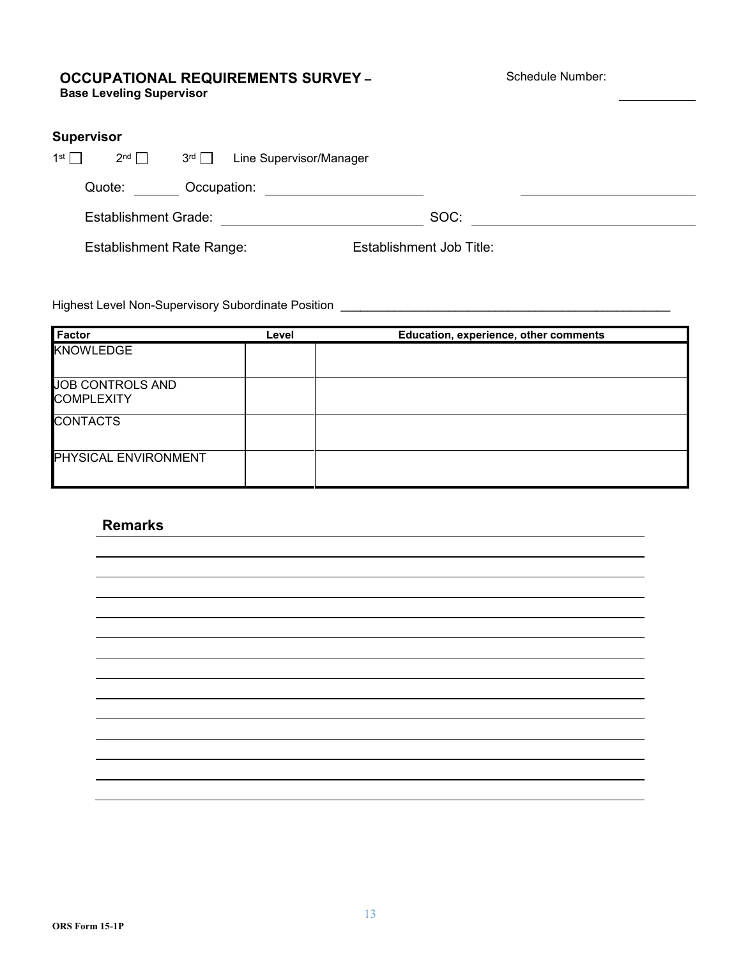#### **OCCUPATIONAL REQUIREMENTS SURVEY – Base Leveling Supervisor**

Schedule Number:

| <b>Supervisor</b> |                                  |               |                         |                          |  |
|-------------------|----------------------------------|---------------|-------------------------|--------------------------|--|
| 1 <sup>st</sup>   | $2^{nd} \square$                 | $3^{rd} \Box$ | Line Supervisor/Manager |                          |  |
|                   | Quote:                           | Occupation:   |                         |                          |  |
|                   | <b>Establishment Grade:</b>      |               |                         | SOC:                     |  |
|                   | <b>Establishment Rate Range:</b> |               |                         | Establishment Job Title: |  |

Highest Level Non-Supervisory Subordinate Position \_\_\_\_\_\_\_\_\_\_\_\_\_\_\_\_\_\_\_\_\_\_\_\_\_\_\_\_\_\_

| <b>Factor</b>                         | Level | Education, experience, other comments |
|---------------------------------------|-------|---------------------------------------|
| <b>KNOWLEDGE</b>                      |       |                                       |
| JOB CONTROLS AND<br><b>COMPLEXITY</b> |       |                                       |
| <b>CONTACTS</b>                       |       |                                       |
| PHYSICAL ENVIRONMENT                  |       |                                       |

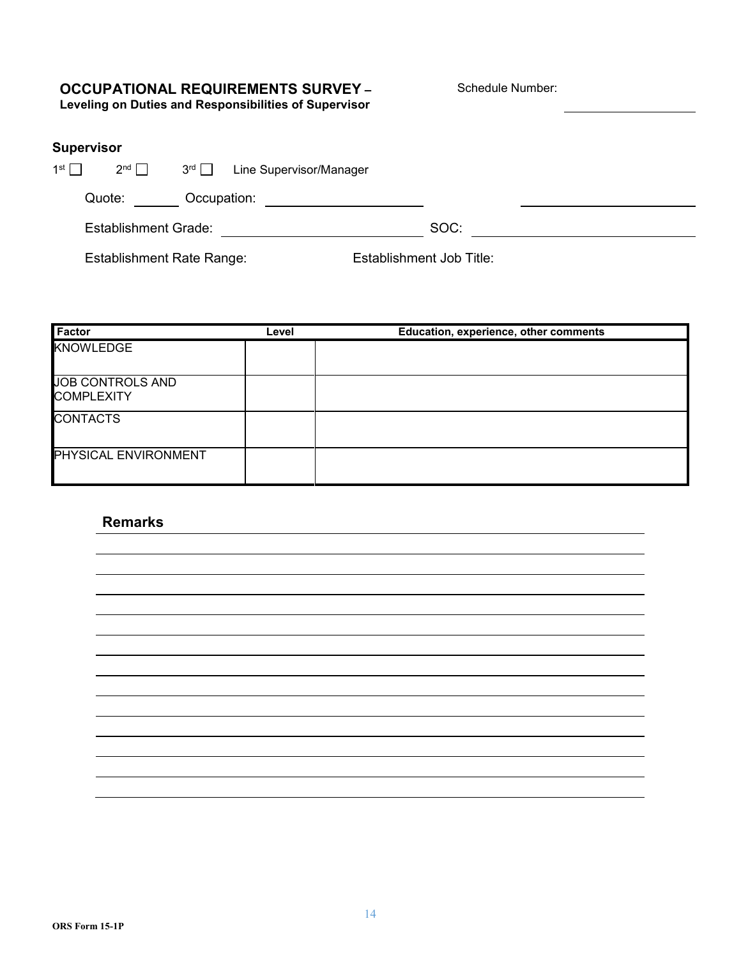# **OCCUPATIONAL REQUIREMENTS SURVEY –**

Schedule Number:

**Leveling on Duties and Responsibilities of Supervisor**

| Supervisor |  |  |  |  |
|------------|--|--|--|--|
|            |  |  |  |  |

| 1st $\Box$ | $2^{nd}$                    | 3 <sup>rd</sup> | Line Supervisor/Manager |      |  |
|------------|-----------------------------|-----------------|-------------------------|------|--|
|            | Quote:                      | Occupation:     |                         |      |  |
|            | <b>Establishment Grade:</b> |                 |                         | SOC: |  |

Establishment Rate Range: Establishment Job Title:

| <b>Factor</b>                         | Level | Education, experience, other comments |
|---------------------------------------|-------|---------------------------------------|
| <b>KNOWLEDGE</b>                      |       |                                       |
| JOB CONTROLS AND<br><b>COMPLEXITY</b> |       |                                       |
| <b>CONTACTS</b>                       |       |                                       |
| PHYSICAL ENVIRONMENT                  |       |                                       |

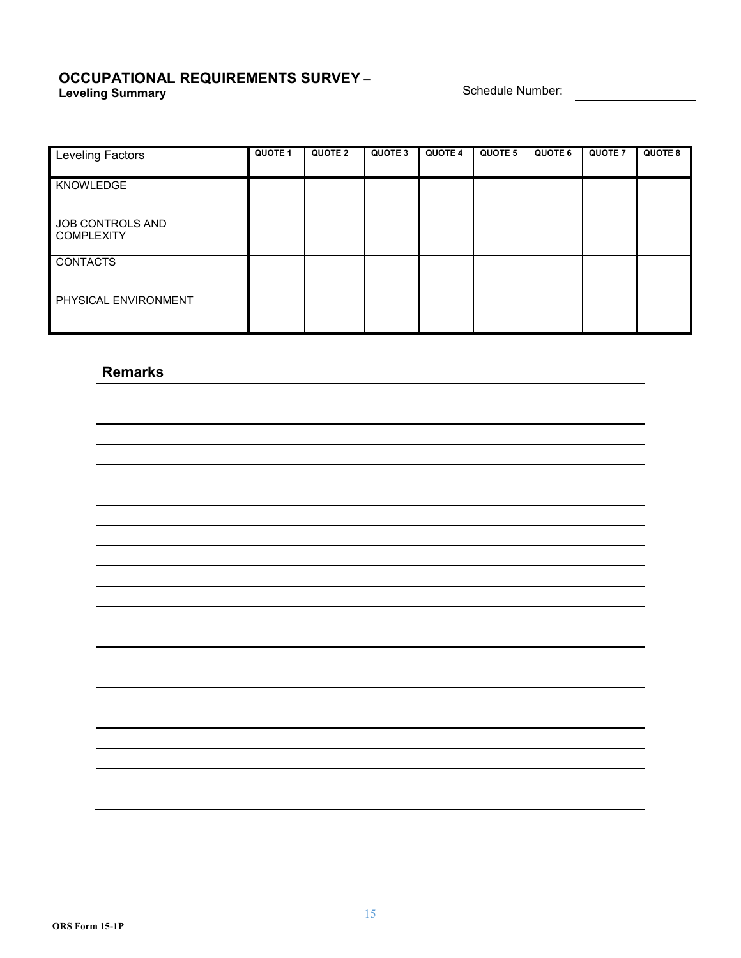#### **OCCUPATIONAL REQUIREMENTS SURVEY – Leveling Summary Schedule Number: Constant Constant Constant Constant Constant Constant Constant Constant Constant Constant Constant Constant Constant Constant Constant Constant Constant Constant Constant Constant Con**

| <b>Leveling Factors</b> | <b>QUOTE 1</b> | <b>QUOTE 2</b> | QUOTE 3 | <b>QUOTE 4</b> | QUOTE 5 | QUOTE 6 | <b>QUOTE 7</b> | <b>QUOTE 8</b> |
|-------------------------|----------------|----------------|---------|----------------|---------|---------|----------------|----------------|
|                         |                |                |         |                |         |         |                |                |
| KNOWLEDGE               |                |                |         |                |         |         |                |                |
|                         |                |                |         |                |         |         |                |                |
|                         |                |                |         |                |         |         |                |                |
| JOB CONTROLS AND        |                |                |         |                |         |         |                |                |
| <b>COMPLEXITY</b>       |                |                |         |                |         |         |                |                |
|                         |                |                |         |                |         |         |                |                |
| <b>CONTACTS</b>         |                |                |         |                |         |         |                |                |
|                         |                |                |         |                |         |         |                |                |
|                         |                |                |         |                |         |         |                |                |
| PHYSICAL ENVIRONMENT    |                |                |         |                |         |         |                |                |
|                         |                |                |         |                |         |         |                |                |
|                         |                |                |         |                |         |         |                |                |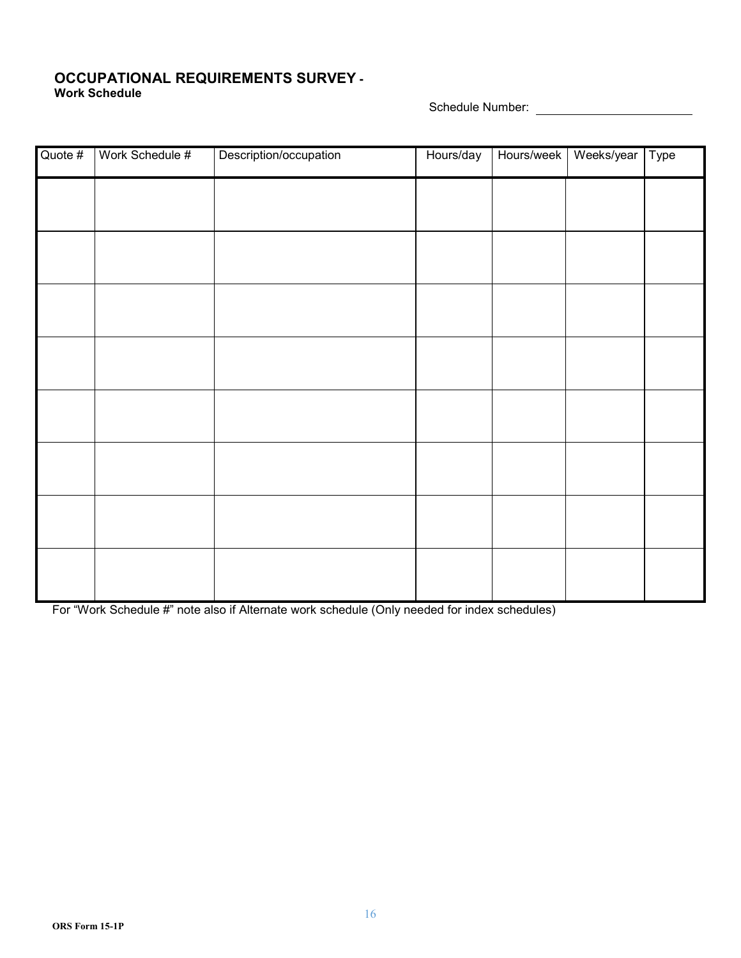#### **OCCUPATIONAL REQUIREMENTS SURVEY - Work Schedule**

Schedule Number:

| Quote # | Work Schedule # | Description/occupation | Hours/day | Hours/week | Weeks/year | Type |
|---------|-----------------|------------------------|-----------|------------|------------|------|
|         |                 |                        |           |            |            |      |
|         |                 |                        |           |            |            |      |
|         |                 |                        |           |            |            |      |
|         |                 |                        |           |            |            |      |
|         |                 |                        |           |            |            |      |
|         |                 |                        |           |            |            |      |
|         |                 |                        |           |            |            |      |
|         |                 |                        |           |            |            |      |
|         |                 |                        |           |            |            |      |

For "Work Schedule #" note also if Alternate work schedule (Only needed for index schedules)